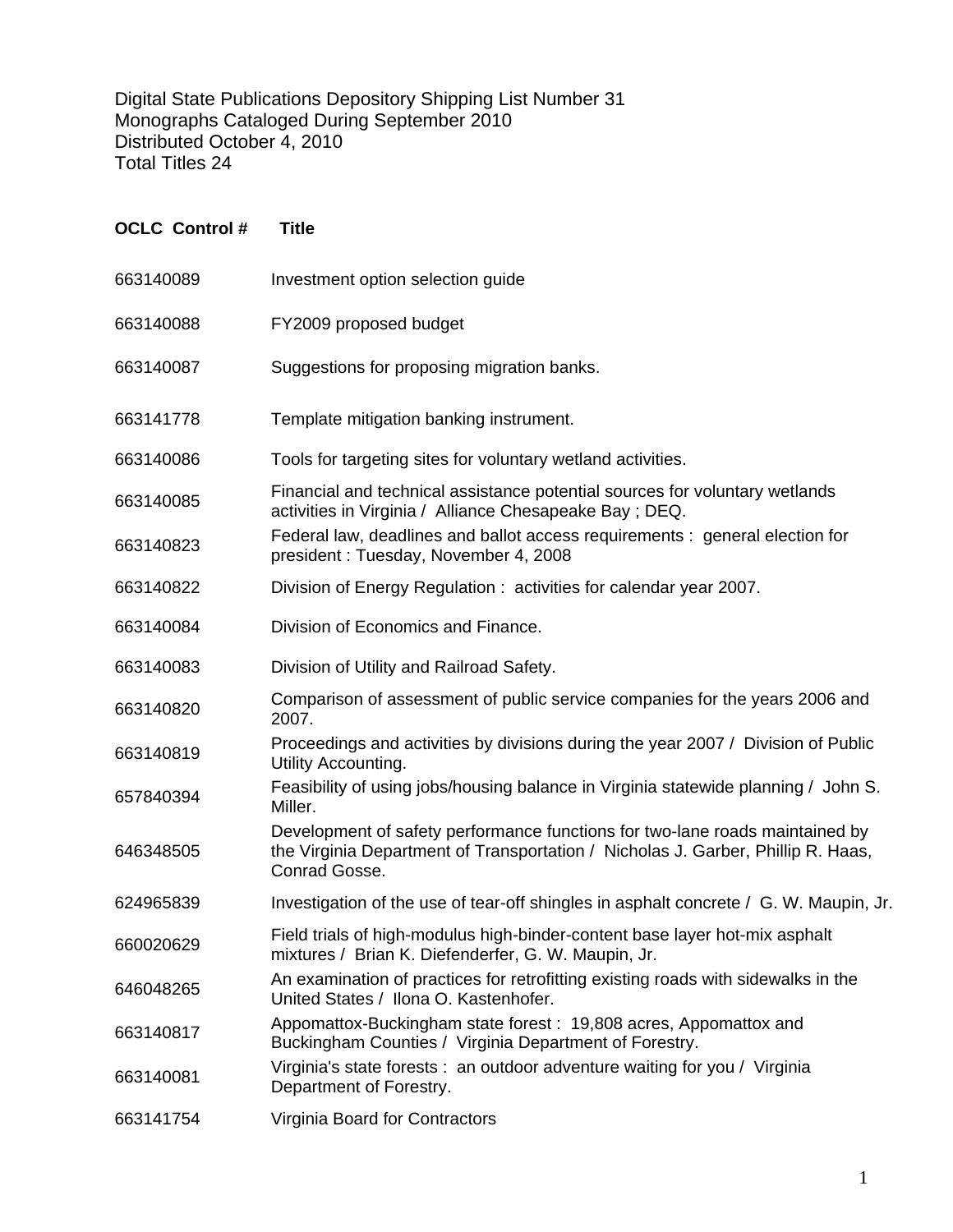Digital State Publications Depository Shipping List Number 31 Monographs Cataloged During September 2010 Distributed October 4, 2010 Total Titles 24

| <b>OCLC Control#</b> | <b>Title</b>                                                                                                                                                                      |
|----------------------|-----------------------------------------------------------------------------------------------------------------------------------------------------------------------------------|
| 663140089            | Investment option selection guide                                                                                                                                                 |
| 663140088            | FY2009 proposed budget                                                                                                                                                            |
| 663140087            | Suggestions for proposing migration banks.                                                                                                                                        |
| 663141778            | Template mitigation banking instrument.                                                                                                                                           |
| 663140086            | Tools for targeting sites for voluntary wetland activities.                                                                                                                       |
| 663140085            | Financial and technical assistance potential sources for voluntary wetlands<br>activities in Virginia / Alliance Chesapeake Bay; DEQ.                                             |
| 663140823            | Federal law, deadlines and ballot access requirements : general election for<br>president: Tuesday, November 4, 2008                                                              |
| 663140822            | Division of Energy Regulation: activities for calendar year 2007.                                                                                                                 |
| 663140084            | Division of Economics and Finance.                                                                                                                                                |
| 663140083            | Division of Utility and Railroad Safety.                                                                                                                                          |
| 663140820            | Comparison of assessment of public service companies for the years 2006 and<br>2007.                                                                                              |
| 663140819            | Proceedings and activities by divisions during the year 2007 / Division of Public<br>Utility Accounting.                                                                          |
| 657840394            | Feasibility of using jobs/housing balance in Virginia statewide planning / John S.<br>Miller.                                                                                     |
| 646348505            | Development of safety performance functions for two-lane roads maintained by<br>the Virginia Department of Transportation / Nicholas J. Garber, Phillip R. Haas,<br>Conrad Gosse. |
| 624965839            | Investigation of the use of tear-off shingles in asphalt concrete / G. W. Maupin, Jr.                                                                                             |
| 660020629            | Field trials of high-modulus high-binder-content base layer hot-mix asphalt<br>mixtures / Brian K. Diefenderfer, G. W. Maupin, Jr.                                                |
| 646048265            | An examination of practices for retrofitting existing roads with sidewalks in the<br>United States / Ilona O. Kastenhofer.                                                        |
| 663140817            | Appomattox-Buckingham state forest: 19,808 acres, Appomattox and<br>Buckingham Counties / Virginia Department of Forestry.                                                        |
| 663140081            | Virginia's state forests : an outdoor adventure waiting for you / Virginia<br>Department of Forestry.                                                                             |
| 663141754            | Virginia Board for Contractors                                                                                                                                                    |